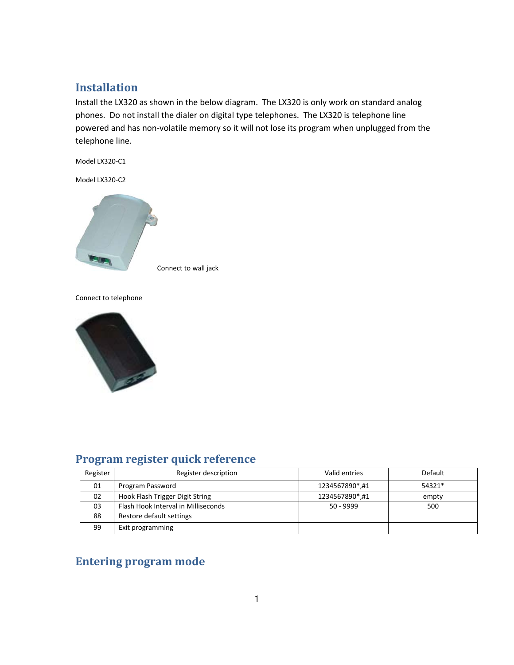## **Installation**

Install the LX320 as shown in the below diagram. The LX320 is only work on standard analog phones. Do not install the dialer on digital type telephones. The LX320 is telephone line powered and has non‐volatile memory so it will not lose its program when unplugged from the telephone line.

Model LX320‐C1

Model LX320‐C2



Connect to wall jack

Connect to telephone



# **Program register quick reference**

| Register | Register description                | Valid entries  | <b>Default</b> |
|----------|-------------------------------------|----------------|----------------|
| 01       | Program Password                    | 1234567890*,#1 | 54321*         |
| 02       | Hook Flash Trigger Digit String     | 1234567890*,#1 | empty          |
| 03       | Flash Hook Interval in Milliseconds | $50 - 9999$    | 500            |
| 88       | Restore default settings            |                |                |
| 99       | Exit programming                    |                |                |

# **Entering program mode**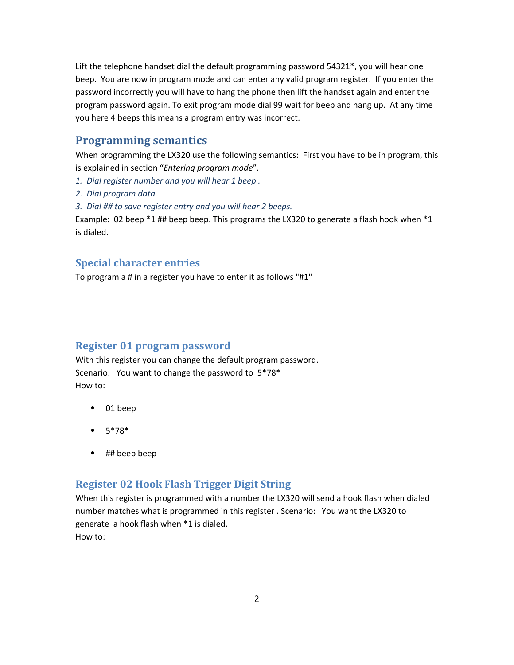Lift the telephone handset dial the default programming password 54321\*, you will hear one beep. You are now in program mode and can enter any valid program register. If you enter the password incorrectly you will have to hang the phone then lift the handset again and enter the program password again. To exit program mode dial 99 wait for beep and hang up. At any time you here 4 beeps this means a program entry was incorrect.

#### **Programming semantics**

When programming the LX320 use the following semantics: First you have to be in program, this is explained in section "*Entering program mode*".

*1. Dial register number and you will hear 1 beep .*

*2. Dial program data.*

*3. Dial ## to save register entry and you will hear 2 beeps.*

Example: 02 beep  $*1$  ## beep beep. This programs the LX320 to generate a flash hook when  $*1$ is dialed.

#### **Special character entries**

To program a # in a register you have to enter it as follows "#1"

#### **Register 01 program password**

With this register you can change the default program password. Scenario: You want to change the password to 5\*78\* How to:

- ⦁ 01 beep
- ⦁ 5\*78\*
- ⦁ ## beep beep

#### **Register 02 Hook Flash Trigger Digit String**

When this register is programmed with a number the LX320 will send a hook flash when dialed number matches what is programmed in this register . Scenario: You want the LX320 to generate a hook flash when \*1 is dialed. How to: